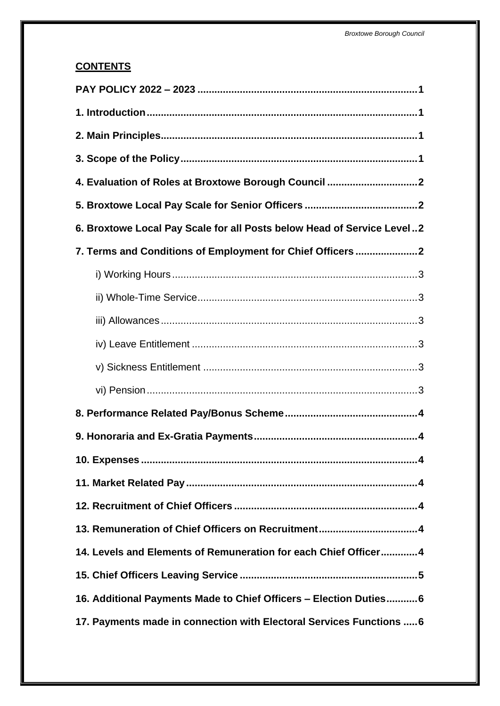# **CONTENTS**

| 4. Evaluation of Roles at Broxtowe Borough Council 2                   |
|------------------------------------------------------------------------|
|                                                                        |
| 6. Broxtowe Local Pay Scale for all Posts below Head of Service Level2 |
| 7. Terms and Conditions of Employment for Chief Officers 2             |
|                                                                        |
|                                                                        |
|                                                                        |
|                                                                        |
|                                                                        |
|                                                                        |
|                                                                        |
|                                                                        |
|                                                                        |
|                                                                        |
|                                                                        |
|                                                                        |
| 14. Levels and Elements of Remuneration for each Chief Officer 4       |
|                                                                        |
| 16. Additional Payments Made to Chief Officers - Election Duties 6     |
| 17. Payments made in connection with Electoral Services Functions  6   |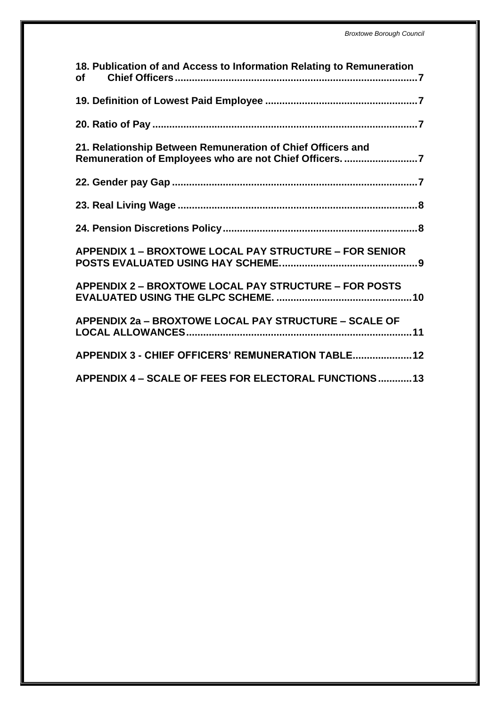| 18. Publication of and Access to Information Relating to Remuneration<br><b>of</b>                                     |
|------------------------------------------------------------------------------------------------------------------------|
|                                                                                                                        |
|                                                                                                                        |
| 21. Relationship Between Remuneration of Chief Officers and<br>Remuneration of Employees who are not Chief Officers. 7 |
|                                                                                                                        |
|                                                                                                                        |
|                                                                                                                        |
| <b>APPENDIX 1 - BROXTOWE LOCAL PAY STRUCTURE - FOR SENIOR</b>                                                          |
| <b>APPENDIX 2 - BROXTOWE LOCAL PAY STRUCTURE - FOR POSTS</b>                                                           |
| APPENDIX 2a - BROXTOWE LOCAL PAY STRUCTURE - SCALE OF                                                                  |
| APPENDIX 3 - CHIEF OFFICERS' REMUNERATION TABLE 12                                                                     |
| APPENDIX 4 - SCALE OF FEES FOR ELECTORAL FUNCTIONS13                                                                   |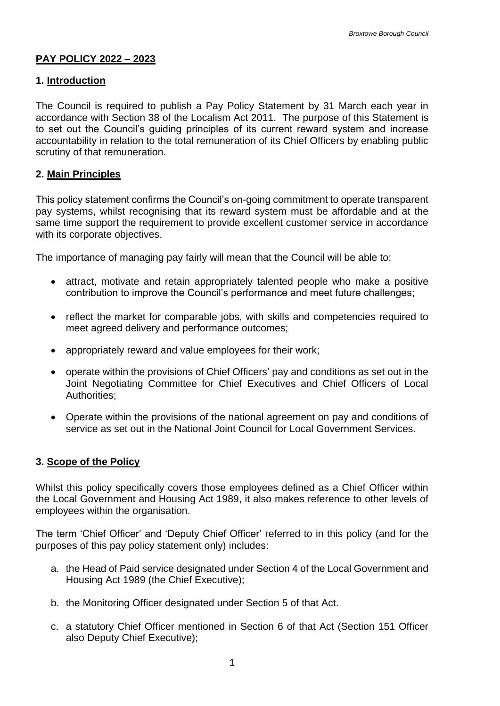# <span id="page-3-0"></span>**PAY POLICY 2022 – 2023**

## <span id="page-3-1"></span>**1. Introduction**

 The Council is required to publish a Pay Policy Statement by 31 March each year in to set out the Council's guiding principles of its current reward system and increase accordance with Section 38 of the Localism Act 2011. The purpose of this Statement is accountability in relation to the total remuneration of its Chief Officers by enabling public scrutiny of that remuneration.

## <span id="page-3-2"></span>**2. Main Principles**

 pay systems, whilst recognising that its reward system must be affordable and at the same time support the requirement to provide excellent customer service in accordance This policy statement confirms the Council's on-going commitment to operate transparent with its corporate objectives.

The importance of managing pay fairly will mean that the Council will be able to:

- attract, motivate and retain appropriately talented people who make a positive contribution to improve the Council's performance and meet future challenges;
- reflect the market for comparable jobs, with skills and competencies required to meet agreed delivery and performance outcomes;
- appropriately reward and value employees for their work;
- operate within the provisions of Chief Officers' pay and conditions as set out in the Joint Negotiating Committee for Chief Executives and Chief Officers of Local Authorities;
- Operate within the provisions of the national agreement on pay and conditions of service as set out in the National Joint Council for Local Government Services.

### <span id="page-3-3"></span>**3. Scope of the Policy**

Whilst this policy specifically covers those employees defined as a Chief Officer within the Local Government and Housing Act 1989, it also makes reference to other levels of employees within the organisation.

 The term 'Chief Officer' and 'Deputy Chief Officer' referred to in this policy (and for the purposes of this pay policy statement only) includes:

- a. the Head of Paid service designated under Section 4 of the Local Government and Housing Act 1989 (the Chief Executive);
- b. the Monitoring Officer designated under Section 5 of that Act.
- b. the Monitoring Officer designated under Section 5 of that Act.<br>c. a statutory Chief Officer mentioned in Section 6 of that Act (Section 151 Officer also Deputy Chief Executive);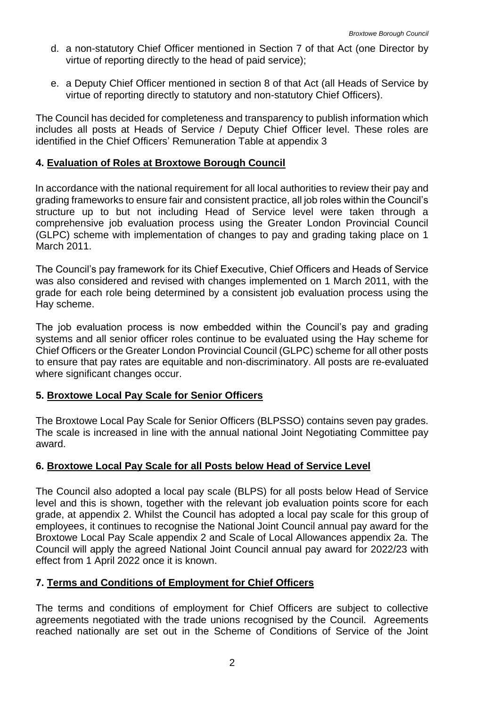- d. a non-statutory Chief Officer mentioned in Section 7 of that Act (one Director by virtue of reporting directly to the head of paid service);
- e. a Deputy Chief Officer mentioned in section 8 of that Act (all Heads of Service by virtue of reporting directly to statutory and non-statutory Chief Officers).

The Council has decided for completeness and transparency to publish information which includes all posts at Heads of Service / Deputy Chief Officer level. These roles are identified in the Chief Officers' Remuneration Table at appendix 3

## <span id="page-4-0"></span>**4. Evaluation of Roles at Broxtowe Borough Council**

 structure up to but not including Head of Service level were taken through a (GLPC) scheme with implementation of changes to pay and grading taking place on 1 In accordance with the national requirement for all local authorities to review their pay and grading frameworks to ensure fair and consistent practice, all job roles within the Council's comprehensive job evaluation process using the Greater London Provincial Council March 2011.

 grade for each role being determined by a consistent job evaluation process using the The Council's pay framework for its Chief Executive, Chief Officers and Heads of Service was also considered and revised with changes implemented on 1 March 2011, with the Hay scheme.

 Chief Officers or the Greater London Provincial Council (GLPC) scheme for all other posts The job evaluation process is now embedded within the Council's pay and grading systems and all senior officer roles continue to be evaluated using the Hay scheme for to ensure that pay rates are equitable and non-discriminatory. All posts are re-evaluated where significant changes occur.

# <span id="page-4-1"></span>**5. Broxtowe Local Pay Scale for Senior Officers**

 The Broxtowe Local Pay Scale for Senior Officers (BLPSSO) contains seven pay grades. The scale is increased in line with the annual national Joint Negotiating Committee pay award.

# <span id="page-4-2"></span>**6. Broxtowe Local Pay Scale for all Posts below Head of Service Level**

 The Council also adopted a local pay scale (BLPS) for all posts below Head of Service grade, at appendix 2. Whilst the Council has adopted a local pay scale for this group of employees, it continues to recognise the National Joint Council annual pay award for the Broxtowe Local Pay Scale appendix 2 and Scale of Local Allowances appendix 2a. The Council will apply the agreed National Joint Council annual pay award for 2022/23 with level and this is shown, together with the relevant job evaluation points score for each effect from 1 April 2022 once it is known.

### <span id="page-4-3"></span>**7. Terms and Conditions of Employment for Chief Officers**

 The terms and conditions of employment for Chief Officers are subject to collective agreements negotiated with the trade unions recognised by the Council. Agreements reached nationally are set out in the Scheme of Conditions of Service of the Joint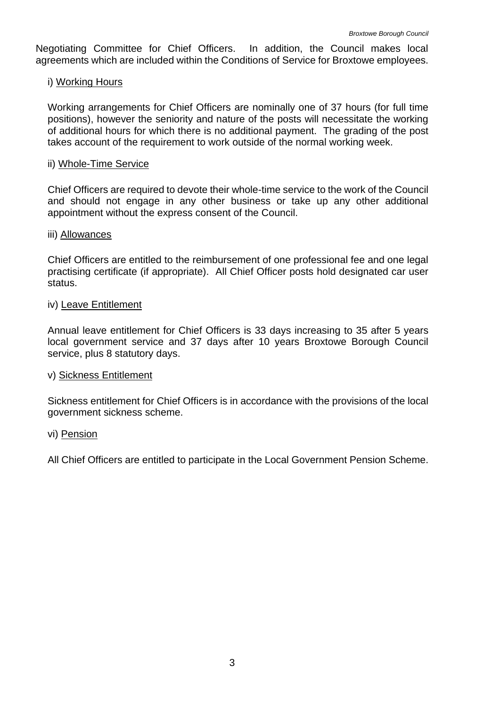agreements which are included within the Conditions of Service for Broxtowe employees. Negotiating Committee for Chief Officers. In addition, the Council makes local

## <span id="page-5-0"></span>i) Working Hours

 Working arrangements for Chief Officers are nominally one of 37 hours (for full time of additional hours for which there is no additional payment. The grading of the post positions), however the seniority and nature of the posts will necessitate the working takes account of the requirement to work outside of the normal working week.

#### <span id="page-5-1"></span>ii) Whole-Time Service

Chief Officers are required to devote their whole-time service to the work of the Council and should not engage in any other business or take up any other additional appointment without the express consent of the Council.

#### <span id="page-5-2"></span>iii) Allowances

 Chief Officers are entitled to the reimbursement of one professional fee and one legal practising certificate (if appropriate). All Chief Officer posts hold designated car user status.

#### <span id="page-5-3"></span>iv) Leave Entitlement

 Annual leave entitlement for Chief Officers is 33 days increasing to 35 after 5 years local government service and 37 days after 10 years Broxtowe Borough Council service, plus 8 statutory days.

### <span id="page-5-4"></span>v) Sickness Entitlement

Sickness entitlement for Chief Officers is in accordance with the provisions of the local government sickness scheme.

#### <span id="page-5-5"></span>vi) Pension

All Chief Officers are entitled to participate in the Local Government Pension Scheme.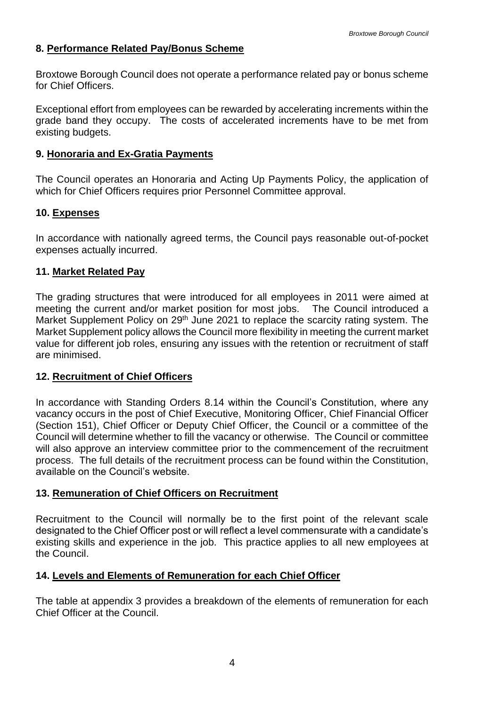## <span id="page-6-0"></span>**8. Performance Related Pay/Bonus Scheme**

Broxtowe Borough Council does not operate a performance related pay or bonus scheme for Chief Officers.

 Exceptional effort from employees can be rewarded by accelerating increments within the grade band they occupy. The costs of accelerated increments have to be met from existing budgets.

#### <span id="page-6-1"></span>**9. Honoraria and Ex-Gratia Payments**

 The Council operates an Honoraria and Acting Up Payments Policy, the application of which for Chief Officers requires prior Personnel Committee approval.

### <span id="page-6-2"></span>**10. Expenses**

In accordance with nationally agreed terms, the Council pays reasonable out-of-pocket expenses actually incurred.

### <span id="page-6-3"></span>**11. Market Related Pay**

 meeting the current and/or market position for most jobs. The Council introduced a value for different job roles, ensuring any issues with the retention or recruitment of staff The grading structures that were introduced for all employees in 2011 were aimed at Market Supplement Policy on 29<sup>th</sup> June 2021 to replace the scarcity rating system. The Market Supplement policy allows the Council more flexibility in meeting the current market are minimised.

### <span id="page-6-4"></span>**12. Recruitment of Chief Officers**

 (Section 151), Chief Officer or Deputy Chief Officer, the Council or a committee of the Council will determine whether to fill the vacancy or otherwise. The Council or committee will also approve an interview committee prior to the commencement of the recruitment In accordance with Standing Orders 8.14 within the Council's Constitution, where any vacancy occurs in the post of Chief Executive, Monitoring Officer, Chief Financial Officer process. The full details of the recruitment process can be found within the Constitution, available on the Council's website.

### <span id="page-6-5"></span>**13. Remuneration of Chief Officers on Recruitment**

 existing skills and experience in the job. This practice applies to all new employees at Recruitment to the Council will normally be to the first point of the relevant scale designated to the Chief Officer post or will reflect a level commensurate with a candidate's the Council.

### <span id="page-6-6"></span>**14. Levels and Elements of Remuneration for each Chief Officer**

The table at appendix 3 provides a breakdown of the elements of remuneration for each Chief Officer at the Council.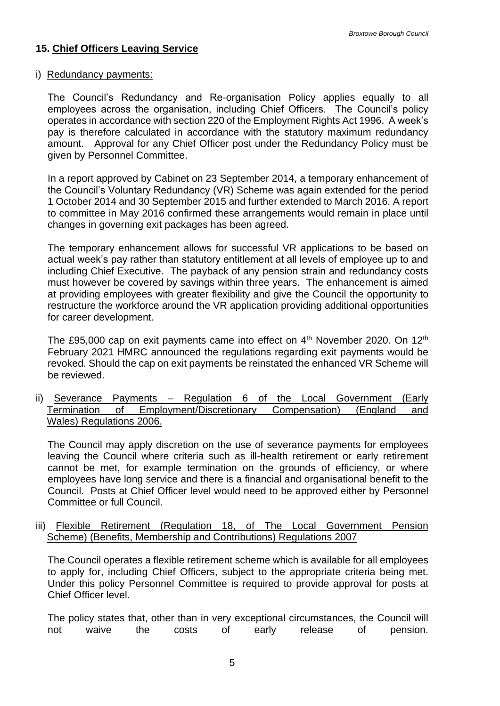# <span id="page-7-0"></span>**15. Chief Officers Leaving Service**

#### i) Redundancy payments:

 employees across the organisation, including Chief Officers. The Council's policy amount. Approval for any Chief Officer post under the Redundancy Policy must be The Council's Redundancy and Re-organisation Policy applies equally to all operates in accordance with section 220 of the Employment Rights Act 1996. A week's pay is therefore calculated in accordance with the statutory maximum redundancy given by Personnel Committee.

In a report approved by Cabinet on 23 September 2014, a temporary enhancement of the Council's Voluntary Redundancy (VR) Scheme was again extended for the period 1 October 2014 and 30 September 2015 and further extended to March 2016. A report to committee in May 2016 confirmed these arrangements would remain in place until changes in governing exit packages has been agreed.

 The temporary enhancement allows for successful VR applications to be based on actual week's pay rather than statutory entitlement at all levels of employee up to and including Chief Executive. The payback of any pension strain and redundancy costs must however be covered by savings within three years. The enhancement is aimed at providing employees with greater flexibility and give the Council the opportunity to restructure the workforce around the VR application providing additional opportunities for career development.

The £95,000 cap on exit payments came into effect on  $4<sup>th</sup>$  November 2020. On 12<sup>th</sup> February 2021 HMRC announced the regulations regarding exit payments would be revoked. Should the cap on exit payments be reinstated the enhanced VR Scheme will be reviewed.

ii) Severance Payments – Regulation 6 of the Local Government (Early Termination of Employment/Discretionary Compensation) (England and Wales) Regulations 2006.

 The Council may apply discretion on the use of severance payments for employees leaving the Council where criteria such as ill-health retirement or early retirement cannot be met, for example termination on the grounds of efficiency, or where employees have long service and there is a financial and organisational benefit to the Council. Posts at Chief Officer level would need to be approved either by Personnel Committee or full Council.

#### iii) Flexible Retirement (Regulation 18, of The Local Government Pension Scheme) (Benefits, Membership and Contributions) Regulations 2007

 The Council operates a flexible retirement scheme which is available for all employees to apply for, including Chief Officers, subject to the appropriate criteria being met. Under this policy Personnel Committee is required to provide approval for posts at Chief Officer level.

costs The policy states that, other than in very exceptional circumstances, the Council will not waive the costs of early release of pension.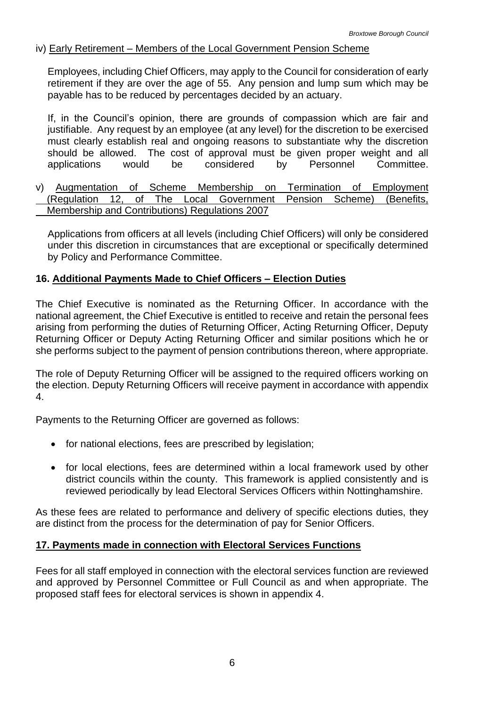## iv) Early Retirement – Members of the Local Government Pension Scheme

 retirement if they are over the age of 55. Any pension and lump sum which may be Employees, including Chief Officers, may apply to the Council for consideration of early payable has to be reduced by percentages decided by an actuary.

 If, in the Council's opinion, there are grounds of compassion which are fair and should be allowed. The cost of approval must be given proper weight and all justifiable. Any request by an employee (at any level) for the discretion to be exercised must clearly establish real and ongoing reasons to substantiate why the discretion applications would be considered by Personnel Committee.

 $\overline{a}$  $\overline{a}$ v) Augmentation of Scheme Membership on Termination of Employment (Regulation 12, of The Local Government Pension Scheme) (Benefits, Membership and Contributions) Regulations 2007

 Applications from officers at all levels (including Chief Officers) will only be considered under this discretion in circumstances that are exceptional or specifically determined by Policy and Performance Committee.

## <span id="page-8-0"></span>**16. Additional Payments Made to Chief Officers – Election Duties**

 national agreement, the Chief Executive is entitled to receive and retain the personal fees arising from performing the duties of Returning Officer, Acting Returning Officer, Deputy Returning Officer or Deputy Acting Returning Officer and similar positions which he or The Chief Executive is nominated as the Returning Officer. In accordance with the she performs subject to the payment of pension contributions thereon, where appropriate.

The role of Deputy Returning Officer will be assigned to the required officers working on the election. Deputy Returning Officers will receive payment in accordance with appendix 4.

Payments to the Returning Officer are governed as follows:

- for national elections, fees are prescribed by legislation;
- for local elections, fees are determined within a local framework used by other district councils within the county. This framework is applied consistently and is reviewed periodically by lead Electoral Services Officers within Nottinghamshire.

As these fees are related to performance and delivery of specific elections duties, they are distinct from the process for the determination of pay for Senior Officers.

### <span id="page-8-1"></span>**17. Payments made in connection with Electoral Services Functions**

 Fees for all staff employed in connection with the electoral services function are reviewed and approved by Personnel Committee or Full Council as and when appropriate. The proposed staff fees for electoral services is shown in appendix 4.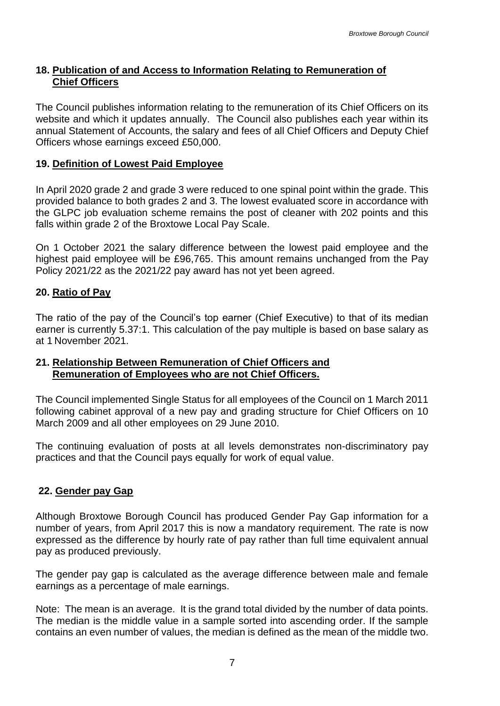## <span id="page-9-0"></span>**18. Publication of and Access to Information Relating to Remuneration of Chief Officers**

The Council publishes information relating to the remuneration of its Chief Officers on its website and which it updates annually. The Council also publishes each year within its annual Statement of Accounts, the salary and fees of all Chief Officers and Deputy Chief Officers whose earnings exceed £50,000.

# <span id="page-9-1"></span>**19. Definition of Lowest Paid Employee**

 provided balance to both grades 2 and 3. The lowest evaluated score in accordance with the GLPC job evaluation scheme remains the post of cleaner with 202 points and this In April 2020 grade 2 and grade 3 were reduced to one spinal point within the grade. This falls within grade 2 of the Broxtowe Local Pay Scale.

On 1 October 2021 the salary difference between the lowest paid employee and the highest paid employee will be £96,765. This amount remains unchanged from the Pay Policy 2021/22 as the 2021/22 pay award has not yet been agreed.

# <span id="page-9-2"></span>**20. Ratio of Pay**

 The ratio of the pay of the Council's top earner (Chief Executive) to that of its median earner is currently 5.37:1. This calculation of the pay multiple is based on base salary as at 1 November 2021.

### <span id="page-9-3"></span>**21. Relationship Between Remuneration of Chief Officers and Remuneration of Employees who are not Chief Officers.**

 following cabinet approval of a new pay and grading structure for Chief Officers on 10 March 2009 and all other employees on 29 June 2010. The Council implemented Single Status for all employees of the Council on 1 March 2011

The continuing evaluation of posts at all levels demonstrates non-discriminatory pay practices and that the Council pays equally for work of equal value.

### <span id="page-9-4"></span>**22. Gender pay Gap**

 Although Broxtowe Borough Council has produced Gender Pay Gap information for a number of years, from April 2017 this is now a mandatory requirement. The rate is now expressed as the difference by hourly rate of pay rather than full time equivalent annual pay as produced previously.

The gender pay gap is calculated as the average difference between male and female earnings as a percentage of male earnings.

 Note: The mean is an average. It is the grand total divided by the number of data points. contains an even number of values, the median is defined as the mean of the middle two. The median is the middle value in a sample sorted into ascending order. If the sample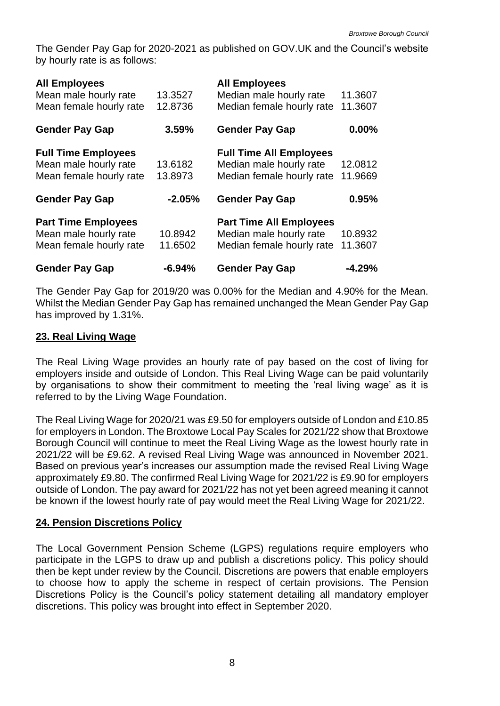The Gender Pay Gap for 2020-2021 as published on GOV.UK and the Council's website by hourly rate is as follows:

| <b>All Employees</b><br>Mean male hourly rate<br>Mean female hourly rate       | 13.3527<br>12.8736 | <b>All Employees</b><br>Median male hourly rate<br>Median female hourly rate           | 11.3607<br>11.3607 |
|--------------------------------------------------------------------------------|--------------------|----------------------------------------------------------------------------------------|--------------------|
| <b>Gender Pay Gap</b>                                                          | 3.59%              | <b>Gender Pay Gap</b>                                                                  | 0.00%              |
| <b>Full Time Employees</b><br>Mean male hourly rate<br>Mean female hourly rate | 13.6182<br>13.8973 | <b>Full Time All Employees</b><br>Median male hourly rate<br>Median female hourly rate | 12.0812<br>11.9669 |
| <b>Gender Pay Gap</b>                                                          | $-2.05%$           | <b>Gender Pay Gap</b>                                                                  | 0.95%              |
| <b>Part Time Employees</b><br>Mean male hourly rate<br>Mean female hourly rate | 10.8942<br>11.6502 | <b>Part Time All Employees</b><br>Median male hourly rate<br>Median female hourly rate | 10.8932<br>11.3607 |
| <b>Gender Pay Gap</b>                                                          | $-6.94%$           | <b>Gender Pay Gap</b>                                                                  | $-4.29%$           |

 has improved by 1.31%. The Gender Pay Gap for 2019/20 was 0.00% for the Median and 4.90% for the Mean. Whilst the Median Gender Pay Gap has remained unchanged the Mean Gender Pay Gap

## <span id="page-10-0"></span>**23. Real Living Wage**

 by organisations to show their commitment to meeting the 'real living wage' as it is The Real Living Wage provides an hourly rate of pay based on the cost of living for employers inside and outside of London. This Real Living Wage can be paid voluntarily referred to by the Living Wage Foundation.

 The Real Living Wage for 2020/21 was £9.50 for employers outside of London and £10.85 for employers in London. The Broxtowe Local Pay Scales for 2021/22 show that Broxtowe Borough Council will continue to meet the Real Living Wage as the lowest hourly rate in 2021/22 will be £9.62. A revised Real Living Wage was announced in November 2021. Based on previous year's increases our assumption made the revised Real Living Wage approximately £9.80. The confirmed Real Living Wage for 2021/22 is £9.90 for employers outside of London. The pay award for 2021/22 has not yet been agreed meaning it cannot be known if the lowest hourly rate of pay would meet the Real Living Wage for 2021/22.

### <span id="page-10-1"></span>**24. Pension Discretions Policy**

 to choose how to apply the scheme in respect of certain provisions. The Pension The Local Government Pension Scheme (LGPS) regulations require employers who participate in the LGPS to draw up and publish a discretions policy. This policy should then be kept under review by the Council. Discretions are powers that enable employers Discretions Policy is the Council's policy statement detailing all mandatory employer discretions. This policy was brought into effect in September 2020.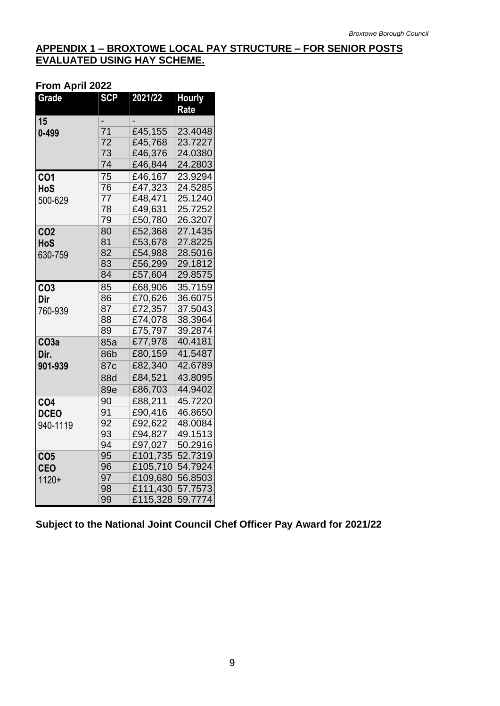### <span id="page-11-0"></span>**APPENDIX 1 – BROXTOWE LOCAL PAY STRUCTURE – FOR SENIOR POSTS EVALUATED USING HAY SCHEME.**

#### **From April 2022**

| <b>Grade</b>     | <b>SCP</b>      | 2021/22  | <b>Hourly</b> |
|------------------|-----------------|----------|---------------|
|                  |                 |          | Rate          |
| 15               |                 |          |               |
| $0 - 499$        | 71              | £45,155  | 23.4048       |
|                  | 72              | £45,768  | 23.7227       |
|                  | 73              | £46,376  | 24.0380       |
|                  | 74              | £46,844  | 24.2803       |
| <b>CO1</b>       | 75              | £46,167  | 23.9294       |
| HoS              | 76              | £47,323  | 24.5285       |
| 500-629          | 77              | £48,471  | 25.1240       |
|                  | 78              | £49,631  | 25.7252       |
|                  | 79              | £50,780  | 26.3207       |
| <b>CO2</b>       | 80              | £52,368  | 27.1435       |
| HoS              | 81              | £53,678  | 27.8225       |
| 630-759          | 82              | £54,988  | 28.5016       |
|                  | 83              | £56,299  | 29.1812       |
|                  | 84              | £57,604  | 29.8575       |
| CO <sub>3</sub>  | 85              | £68,906  | 35.7159       |
| Dir              | 86              | £70,626  | 36.6075       |
| 760-939          | 87              | £72,357  | 37.5043       |
|                  | 88              | £74,078  | 38.3964       |
|                  | 89              | £75,797  | 39.2874       |
| CO <sub>3a</sub> | 85a             | £77,978  | 40.4181       |
| Dir.             | 86b             | £80,159  | 41.5487       |
| 901-939          | 87c             | £82,340  | 42.6789       |
|                  | 88d             | £84,521  | 43.8095       |
|                  | 89e             | £86,703  | 44.9402       |
| CO <sub>4</sub>  | 90              | £88,211  | 45.7220       |
| <b>DCEO</b>      | 91              | £90,416  | 46.8650       |
| 940-1119         | 92              | £92,622  | 48.0084       |
|                  | 93              | £94,827  | 49.1513       |
|                  | $\overline{94}$ | £97,027  | 50.2916       |
| CO <sub>5</sub>  | 95              | £101,735 | 52.7319       |
| <b>CEO</b>       | 96              | £105,710 | 54.7924       |
| $1120+$          | 97              | £109,680 | 56.8503       |
|                  | 98              | £111,430 | 57.7573       |
|                  | 99              | £115,328 | 59.7774       |

**Subject to the National Joint Council Chef Officer Pay Award for 2021/22**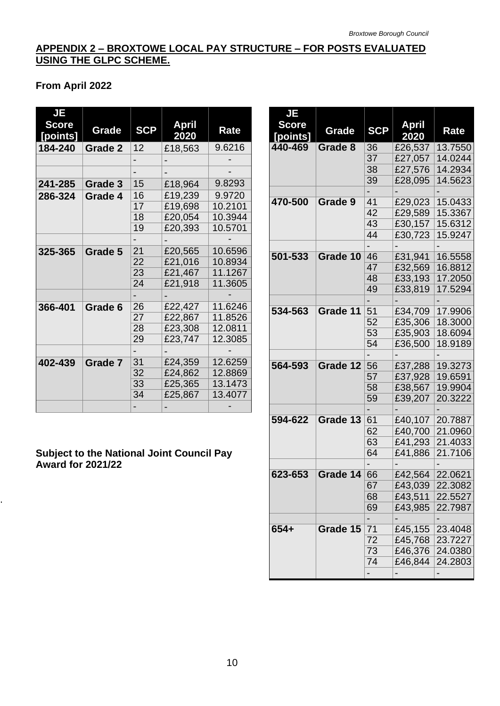# <span id="page-12-0"></span>**APPENDIX 2 – BROXTOWE LOCAL PAY STRUCTURE – FOR POSTS EVALUATED USING THE GLPC SCHEME.**

# **From April 2022**

| <b>JE</b><br><b>Score</b><br>[points] | Grade          | <b>SCP</b> | April<br>2020 | Rate    |
|---------------------------------------|----------------|------------|---------------|---------|
| 184-240                               | <b>Grade 2</b> | 12         | £18,563       | 9.6216  |
|                                       |                |            |               |         |
|                                       |                |            |               |         |
| 241-285                               | Grade 3        | 15         | £18,964       | 9.8293  |
| 286-324                               | Grade 4        | 16         | £19,239       | 9.9720  |
|                                       |                | 17         | £19,698       | 10.2101 |
|                                       |                | 18         | £20,054       | 10.3944 |
|                                       |                | 19         | £20,393       | 10.5701 |
|                                       |                |            |               |         |
| 325-365                               | Grade 5        | 21         | £20,565       | 10.6596 |
|                                       |                | 22         | £21,016       | 10.8934 |
|                                       |                | 23         | £21,467       | 11.1267 |
|                                       |                | 24         | £21,918       | 11.3605 |
|                                       |                |            |               |         |
| 366-401                               | Grade 6        | 26         | £22,427       | 11.6246 |
|                                       |                | 27         | £22,867       | 11.8526 |
|                                       |                | 28         | £23,308       | 12.0811 |
|                                       |                | 29         | £23,747       | 12.3085 |
|                                       |                |            |               |         |
| 402-439                               | Grade 7        | 31         | £24,359       | 12.6259 |
|                                       |                | 32         | £24,862       | 12.8869 |
|                                       |                | 33         | £25,365       | 13.1473 |
|                                       |                | 34         | £25,867       | 13.4077 |
|                                       |                |            |               |         |

## **Subject to the National Joint Council Pay Award for 2021/22**

.

| <b>JE</b><br><b>Score</b> | Grade    | <b>SCP</b> | <b>April</b> | Rate    |
|---------------------------|----------|------------|--------------|---------|
| [points]                  |          |            | 2020         |         |
| 440-469                   | Grade 8  | 36         | £26,537      | 13.7550 |
|                           |          | 37         | £27,057      | 14.0244 |
|                           |          | 38         | £27,576      | 14.2934 |
|                           |          | 39         | £28,095      | 14.5623 |
|                           |          |            |              |         |
| 470-500                   | Grade 9  | 41         | £29,023      | 15.0433 |
|                           |          | 42         | £29,589      | 15.3367 |
|                           |          | 43         | £30,157      | 15.6312 |
|                           |          | 44         | £30,723      | 15.9247 |
|                           |          |            |              |         |
| 501-533                   | Grade 10 | 46         | £31,941      | 16.5558 |
|                           |          | 47         | £32,569      | 16.8812 |
|                           |          | 48         | £33,193      | 17.2050 |
|                           |          | 49         | £33,819      | 17.5294 |
|                           |          |            |              |         |
| 534-563                   | Grade 11 | 51         | £34,709      | 17.9906 |
|                           |          | 52         | £35,306      | 18.3000 |
|                           |          | 53         | £35,903      | 18.6094 |
|                           |          | 54         | £36,500      | 18.9189 |
|                           |          |            |              |         |
| 564-593                   | Grade 12 | 56         | £37,288      | 19.3273 |
|                           |          | 57         | £37,928      | 19.6591 |
|                           |          | 58         | £38,567      | 19.9904 |
|                           |          | 59         | £39,207      | 20.3222 |
|                           |          |            |              |         |
| 594-622                   | Grade 13 | 61         | £40,107      | 20.7887 |
|                           |          | 62         | £40,700      | 21.0960 |
|                           |          | 63         | £41,293      | 21.4033 |
|                           |          | 64         | £41,886      | 21.7106 |
|                           |          |            |              |         |
| 623-653                   | Grade 14 | 66         | £42,564      | 22.0621 |
|                           |          | 67         | £43,039      | 22.3082 |
|                           |          | 68         | £43,511      | 22.5527 |
|                           |          | 69         | £43,985      | 22.7987 |
|                           |          |            |              |         |
| $654+$                    | Grade 15 | 71         | £45,155      | 23.4048 |
|                           |          | 72         | £45,768      | 23.7227 |
|                           |          | 73         | £46,376      | 24.0380 |
|                           |          | 74         | £46,844      | 24.2803 |
|                           |          | -          |              |         |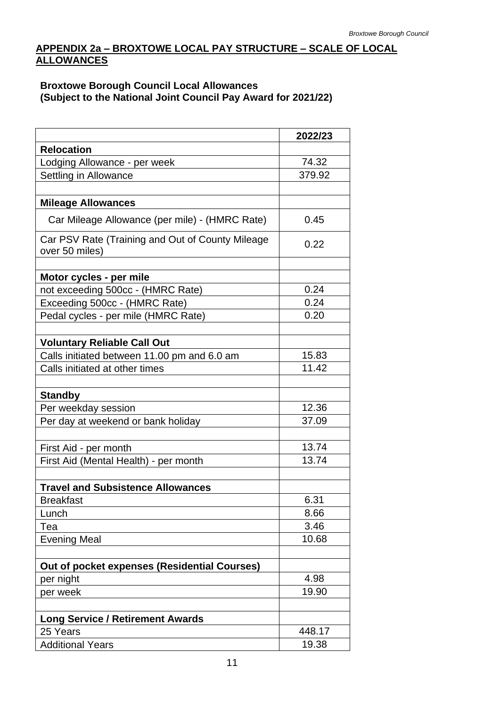# <span id="page-13-0"></span>**APPENDIX 2a – BROXTOWE LOCAL PAY STRUCTURE – SCALE OF LOCAL ALLOWANCES**

### **Broxtowe Borough Council Local Allowances (Subject to the National Joint Council Pay Award for 2021/22)**

|                                                                    | 2022/23 |
|--------------------------------------------------------------------|---------|
| <b>Relocation</b>                                                  |         |
| Lodging Allowance - per week                                       | 74.32   |
| Settling in Allowance                                              | 379.92  |
|                                                                    |         |
| <b>Mileage Allowances</b>                                          |         |
| Car Mileage Allowance (per mile) - (HMRC Rate)                     | 0.45    |
| Car PSV Rate (Training and Out of County Mileage<br>over 50 miles) | 0.22    |
|                                                                    |         |
| Motor cycles - per mile                                            |         |
| not exceeding 500cc - (HMRC Rate)                                  | 0.24    |
| Exceeding 500cc - (HMRC Rate)                                      | 0.24    |
| Pedal cycles - per mile (HMRC Rate)                                | 0.20    |
| <b>Voluntary Reliable Call Out</b>                                 |         |
| Calls initiated between 11.00 pm and 6.0 am                        | 15.83   |
| Calls initiated at other times                                     | 11.42   |
|                                                                    |         |
| <b>Standby</b>                                                     |         |
| Per weekday session                                                | 12.36   |
| Per day at weekend or bank holiday                                 | 37.09   |
|                                                                    |         |
| First Aid - per month                                              | 13.74   |
| First Aid (Mental Health) - per month                              | 13.74   |
|                                                                    |         |
| <b>Travel and Subsistence Allowances</b>                           |         |
| <b>Breakfast</b>                                                   | 6.31    |
| Lunch                                                              | 8.66    |
| Tea                                                                | 3.46    |
| <b>Evening Meal</b>                                                | 10.68   |
|                                                                    |         |
| Out of pocket expenses (Residential Courses)                       |         |
| per night                                                          | 4.98    |
| per week                                                           | 19.90   |
|                                                                    |         |
| <b>Long Service / Retirement Awards</b>                            |         |
| 25 Years                                                           | 448.17  |
| <b>Additional Years</b>                                            | 19.38   |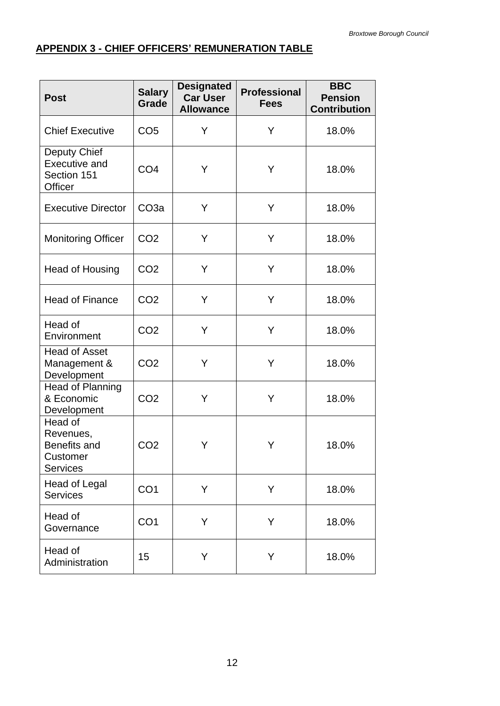# <span id="page-14-0"></span>**APPENDIX 3 - CHIEF OFFICERS' REMUNERATION TABLE**

| <b>Post</b>                                                         | <b>Salary</b><br>Grade | <b>Designated</b><br><b>Car User</b><br><b>Allowance</b> | <b>Professional</b><br><b>Fees</b> | <b>BBC</b><br><b>Pension</b><br><b>Contribution</b> |
|---------------------------------------------------------------------|------------------------|----------------------------------------------------------|------------------------------------|-----------------------------------------------------|
| <b>Chief Executive</b>                                              | CO <sub>5</sub>        | Y                                                        | Y                                  | 18.0%                                               |
| Deputy Chief<br><b>Executive and</b><br>Section 151<br>Officer      | CO <sub>4</sub>        | Y                                                        | Y                                  | 18.0%                                               |
| <b>Executive Director</b>                                           | CO <sub>3</sub> a      | Y                                                        | Y                                  | 18.0%                                               |
| <b>Monitoring Officer</b>                                           | CO <sub>2</sub>        | Y                                                        | Y                                  | 18.0%                                               |
| Head of Housing                                                     | CO <sub>2</sub>        | Y                                                        | Y                                  | 18.0%                                               |
| <b>Head of Finance</b>                                              | CO <sub>2</sub>        | Y                                                        | Y                                  | 18.0%                                               |
| Head of<br>Environment                                              | CO <sub>2</sub>        | Y                                                        | Y                                  | 18.0%                                               |
| <b>Head of Asset</b><br>Management &<br>Development                 | CO <sub>2</sub>        | Υ                                                        | Υ                                  | 18.0%                                               |
| Head of Planning<br>& Economic<br>Development                       | CO <sub>2</sub>        | Υ                                                        | Y                                  | 18.0%                                               |
| Head of<br>Revenues,<br>Benefits and<br>Customer<br><b>Services</b> | CO <sub>2</sub>        | Υ                                                        | Y                                  | 18.0%                                               |
| <b>Head of Legal</b><br><b>Services</b>                             | CO <sub>1</sub>        | Y                                                        | Y                                  | 18.0%                                               |
| Head of<br>Governance                                               | CO <sub>1</sub>        | Y                                                        | Y                                  | 18.0%                                               |
| Head of<br>Administration                                           | 15                     | Y                                                        | Y                                  | 18.0%                                               |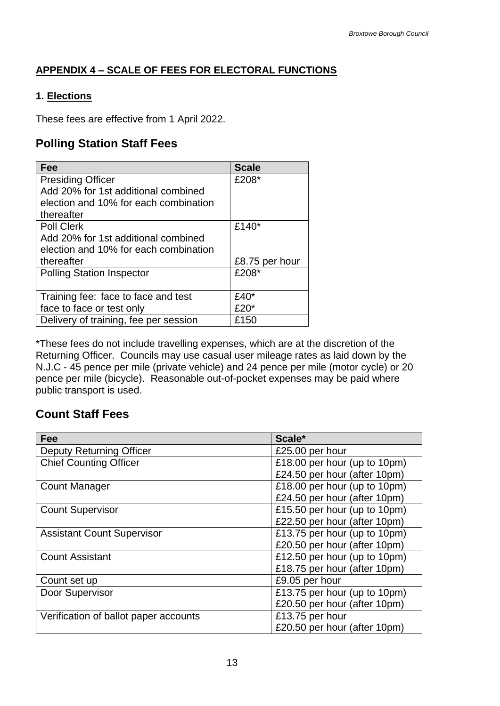# <span id="page-15-0"></span>**APPENDIX 4 – SCALE OF FEES FOR ELECTORAL FUNCTIONS**

# **1. Elections**

These fees are effective from 1 April 2022.

# **Polling Station Staff Fees**

| Fee                                   | <b>Scale</b>   |
|---------------------------------------|----------------|
| <b>Presiding Officer</b>              | £208*          |
| Add 20% for 1st additional combined   |                |
| election and 10% for each combination |                |
| thereafter                            |                |
| <b>Poll Clerk</b>                     | £140 $*$       |
| Add 20% for 1st additional combined   |                |
| election and 10% for each combination |                |
| thereafter                            | £8.75 per hour |
| <b>Polling Station Inspector</b>      | £208*          |
|                                       |                |
| Training fee: face to face and test   | $£40*$         |
| face to face or test only             | £20*           |
| Delivery of training, fee per session | £150           |

 pence per mile (bicycle). Reasonable out-of-pocket expenses may be paid where \*These fees do not include travelling expenses, which are at the discretion of the Returning Officer. Councils may use casual user mileage rates as laid down by the N.J.C - 45 pence per mile (private vehicle) and 24 pence per mile (motor cycle) or 20 public transport is used.

# **Count Staff Fees**

| Fee                                   | Scale*                       |
|---------------------------------------|------------------------------|
| <b>Deputy Returning Officer</b>       | £25.00 per hour              |
| <b>Chief Counting Officer</b>         | £18.00 per hour (up to 10pm) |
|                                       | £24.50 per hour (after 10pm) |
| <b>Count Manager</b>                  | £18.00 per hour (up to 10pm) |
|                                       | £24.50 per hour (after 10pm) |
| <b>Count Supervisor</b>               | £15.50 per hour (up to 10pm) |
|                                       | £22.50 per hour (after 10pm) |
| <b>Assistant Count Supervisor</b>     | £13.75 per hour (up to 10pm) |
|                                       | £20.50 per hour (after 10pm) |
| <b>Count Assistant</b>                | £12.50 per hour (up to 10pm) |
|                                       | £18.75 per hour (after 10pm) |
| Count set up                          | £9.05 per hour               |
| Door Supervisor                       | £13.75 per hour (up to 10pm) |
|                                       | £20.50 per hour (after 10pm) |
| Verification of ballot paper accounts | £13.75 per hour              |
|                                       | £20.50 per hour (after 10pm) |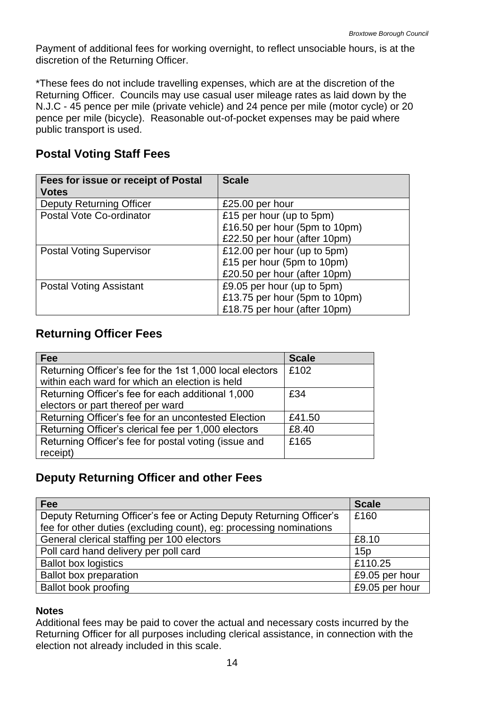Payment of additional fees for working overnight, to reflect unsociable hours, is at the discretion of the Returning Officer.

 pence per mile (bicycle). Reasonable out-of-pocket expenses may be paid where \*These fees do not include travelling expenses, which are at the discretion of the Returning Officer. Councils may use casual user mileage rates as laid down by the N.J.C - 45 pence per mile (private vehicle) and 24 pence per mile (motor cycle) or 20 public transport is used.

# **Postal Voting Staff Fees**

| Fees for issue or receipt of Postal<br><b>Votes</b> | <b>Scale</b>                  |
|-----------------------------------------------------|-------------------------------|
| <b>Deputy Returning Officer</b>                     | £25.00 per hour               |
| Postal Vote Co-ordinator                            | £15 per hour (up to 5pm)      |
|                                                     | £16.50 per hour (5pm to 10pm) |
|                                                     | £22.50 per hour (after 10pm)  |
| <b>Postal Voting Supervisor</b>                     | £12.00 per hour (up to 5pm)   |
|                                                     | £15 per hour (5pm to 10pm)    |
|                                                     | £20.50 per hour (after 10pm)  |
| <b>Postal Voting Assistant</b>                      | £9.05 per hour (up to 5pm)    |
|                                                     | £13.75 per hour (5pm to 10pm) |
|                                                     | £18.75 per hour (after 10pm)  |

# **Returning Officer Fees**

| <b>Fee</b>                                               | <b>Scale</b> |
|----------------------------------------------------------|--------------|
| Returning Officer's fee for the 1st 1,000 local electors | £102         |
| within each ward for which an election is held           |              |
| Returning Officer's fee for each additional 1,000        | £34          |
| electors or part thereof per ward                        |              |
| Returning Officer's fee for an uncontested Election      | £41.50       |
| Returning Officer's clerical fee per 1,000 electors      | £8.40        |
| Returning Officer's fee for postal voting (issue and     | £165         |
| receipt)                                                 |              |

# **Deputy Returning Officer and other Fees**

| Fee                                                                 | <b>Scale</b>   |
|---------------------------------------------------------------------|----------------|
| Deputy Returning Officer's fee or Acting Deputy Returning Officer's | £160           |
| fee for other duties (excluding count), eg: processing nominations  |                |
| General clerical staffing per 100 electors                          | £8.10          |
| Poll card hand delivery per poll card                               | 15p            |
| <b>Ballot box logistics</b>                                         | £110.25        |
| <b>Ballot box preparation</b>                                       | £9.05 per hour |
| <b>Ballot book proofing</b>                                         | £9.05 per hour |

### **Notes**

Additional fees may be paid to cover the actual and necessary costs incurred by the Returning Officer for all purposes including clerical assistance, in connection with the election not already included in this scale.